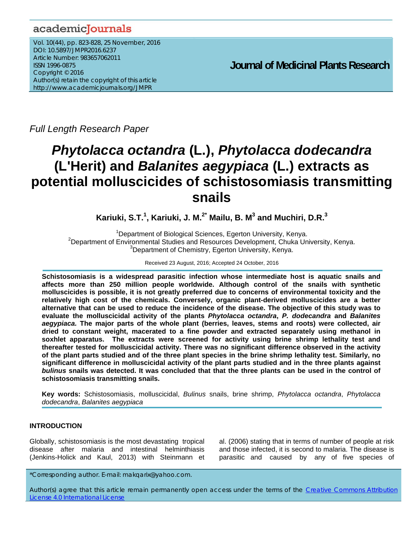# academicJournals

Vol. 10(44), pp. 823-828, 25 November, 2016 DOI: 10.5897/JMPR2016.6237 Article Number: 983657062011 ISSN 1996-0875 Copyright © 2016 Author(s) retain the copyright of this article http://www.academicjournals.org/JMPR

 **Journal of Medicinal Plants Research**

*Full Length Research Paper* 

# *Phytolacca octandra* **(L.),** *Phytolacca dodecandra* **(L'Herit) and** *Balanites aegypiaca* **(L.) extracts as potential molluscicides of schistosomiasis transmitting snails**

**Kariuki, S.T.<sup>1</sup> , Kariuki, J. M.2\* Mailu, B. M3 and Muchiri, D.R.<sup>3</sup>**

<sup>1</sup> Department of Biological Sciences, Egerton University, Kenya.<br><sup>2</sup> Department of Environmental Studies and Bessuress Development, Chuke Uni <sup>2</sup>Department of Environmental Studies and Resources Development, Chuka University, Kenya. <sup>3</sup>Department of Chemistry, Egerton University, Kenya.

Received 23 August, 2016; Accepted 24 October, 2016

**Schistosomiasis is a widespread parasitic infection whose intermediate host is aquatic snails and affects more than 250 million people worldwide. Although control of the snails with synthetic molluscicides is possible, it is not greatly preferred due to concerns of environmental toxicity and the relatively high cost of the chemicals. Conversely, organic plant-derived molluscicides are a better alternative that can be used to reduce the incidence of the disease. The objective of this study was to evaluate the molluscicidal activity of the plants** *Phytolacca octandra***,** *P. dodecandra* **and** *Balanites aegypiaca.* **The major parts of the whole plant (berries, leaves, stems and roots) were collected, air dried to constant weight, macerated to a fine powder and extracted separately using methanol in soxhlet apparatus. The extracts were screened for activity using brine shrimp lethality test and thereafter tested for molluscicidal activity. There was no significant difference observed in the activity of the plant parts studied and of the three plant species in the brine shrimp lethality test. Similarly, no significant difference in molluscicidal activity of the plant parts studied and in the three plants against**  *bulinus* **snails was detected. It was concluded that that the three plants can be used in the control of schistosomiasis transmitting snails.** 

**Key words:** Schistosomiasis, molluscicidal, *Bulinus* snails, brine shrimp, *Phytolacca octandra*, *Phytolacca dodecandra*, *Balanites aegypiaca* 

# **INTRODUCTION**

Globally, schistosomiasis is the most devastating tropical disease after malaria and intestinal helminthiasis (Jenkins-Holick and Kaul, 2013) with Steinmann et

al. (2006) stating that in terms of number of people at risk and those infected, it is second to malaria. The disease is parasitic and caused by any of five species of

\*Corresponding author. E-mail: makqarix@yahoo.com.

Author(s) agree that this article remain permanently open access under the terms of the Creative Commons Attribution License 4.0 International License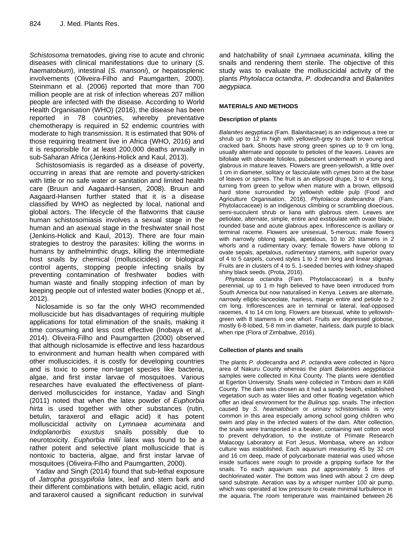*Schistosoma* trematodes, giving rise to acute and chronic diseases with clinical manifestations due to urinary (*S*. *haematobium*), intestinal (*S. mansoni*), or hepatosplenic involvements (Oliveira-Filho and Paumgartten, 2000). Steinmann et al. (2006) reported that more than 700 million people are at risk of infection whereas 207 million people are infected with the disease. According to World Health Organisation (WHO) (2016), the disease has been reported in 78 countries, whereby preventative chemotherapy is required in 52 endemic countries with moderate to high transmission. It is estimated that 90% of those requiring treatment live in Africa (WHO, 2016) and it is responsible for at least 200,000 deaths annually in sub-Saharan Africa (Jenkins-Holick and Kaul, 2013).

Schistosomiasis is regarded as a disease of poverty, occurring in areas that are remote and poverty-stricken with little or no safe water or sanitation and limited health care (Bruun and Aagaard-Hansen, 2008). Bruun and Aagaard-Hansen further stated that it is a disease classified by WHO as neglected by local, national and global actors. The lifecycle of the flatworms that cause human schistosomiasis involves a sexual stage in the human and an asexual stage in the freshwater snail host (Jenkins-Holick and Kaul, 2013). There are four main strategies to destroy the parasites: killing the worms in humans by anthelminthic drugs, killing the intermediate host snails by chemical (molluscicides) or biological control agents, stopping people infecting snails by preventing contamination of freshwater bodies with human waste and finally stopping infection of man by keeping people out of infested water bodies (Knopp et al., 2012).

Niclosamide is so far the only WHO recommended molluscicide but has disadvantages of requiring multiple applications for total elimination of the snails, making it time consuming and less cost effective (Inobaya et al., 2014). Oliveira-Filho and Paumgartten (2000) observed that although niclosamide is effective and less hazardous to environment and human health when compared with other molluscicides, it is costly for developing countries and is toxic to some non-target species like bacteria, algae, and first instar larvae of mosquitoes. Various researches have evaluated the effectiveness of plantderived molluscicides for instance, Yadav and Singh (2011) noted that when the latex powder of *Euphorbia hirta* is used together with other substances (rutin, betulin, taraxerol and ellagic acid) it has potent molluscicidal activity on *Lymnaea acuminata* and *Indoplanorbis exustus* snails possibly due to neurotoxicity. *Euphorbia milii* latex was found to be a rather potent and selective plant molluscicide that is nontoxic to bacteria, algae, and first instar larvae of mosquitoes (Oliveira-Filho and Paumgartten, 2000).

Yadav and Singh (2014) found that sub-lethal exposure of *Jatropha gossypifolia* latex, leaf and stem bark and their different combinations with betulin, ellagic acid, rutin and taraxerol caused a significant reduction in survival

and hatchability of snail *Lymnaea acuminata*, killing the snails and rendering them sterile. The objective of this study was to evaluate the molluscicidal activity of the plants *Phytolacca octandra*, *P. dodecandra* and *Balanites aegypiaca.*

#### **MATERIALS AND METHODS**

#### **Description of plants**

*Balanites aegyptiaca* (Fam. Balanitaceae) is an indigenous a tree or shrub up to 12 m high with yellowish-grey to dark brown vertical cracked bark. Shoots have strong green spines up to 9 cm long, usually alternate and opposite to petioles of the leaves. Leaves are bifoliate with obovate folioles, pubescent underneath in young and glabrous in mature leaves. Flowers are green-yellowish, a little over 1 cm in diameter, solitary or fasciculate with cymes born at the base of leaves or spines. The fruit is an ellipsoid drupe, 3 to 4 cm long, turning from green to yellow when mature with a brown, ellipsoid hard stone surrounded by yellowish edible pulp (Food and Agriculture Organisation. 2016). *Phytolacca dodecandra* (Fam. Phytolaccaceae) is an indigenous climbing or scrambling dioecious, semi-succulent shrub or liana with glabrous stem. Leaves are petiolate, alternate, simple, entire and exstipulate with ovate blade, rounded base and acute glabrous apex. Inflorescence is axillary or terminal raceme. Flowers are unisexual, 5-merous; male flowers with narrowly oblong sepals, apetalous, 10 to 20 stamens in 2 whorls and a rudimentary ovary; female flowers have oblong to ovate sepals, apetalous, rudimentary stamens, with superior ovary of 4 to 5 carpels, curved styles 1 to 2 mm long and linear stigmas. Fruits are in clusters of 4 to 5, 1-seeded berries with kidney-shaped shiny black seeds. (Prota, 2016).

*Phytolacca octandra* (Fam. Phytolaccaceae) is a bushy perennial, up to 1 m high believed to have been introduced from South America but now naturalised in Kenya. Leaves are alternate, narrowly elliptic-lanceolate, hairless, margin entire and petiole to 2 cm long. Inflorescences are in terminal or lateral, leaf-opposed racemes, 4 to 14 cm long. Flowers are bisexual, white to yellowishgreen with 8 stamens in one whorl. Fruits are depressed globose, mostly 6-8-lobed, 5-8 mm in diameter, hairless, dark purple to black when ripe (Flora of Zimbabwe, 2016).

#### **Collection of plants and snails**

The plants *P. dodecandra* and *P. octandra* were collected in Njoro area of Nakuru County whereas the plant *Balanities aegyptiacca* samples were collected in Kitui County. The plants were identified at Egerton University. Snails were collected in Timboni dam in Kilifi County. The dam was chosen as it had a sandy beach, established vegetation such as water lilies and other floating vegetation which offer an ideal environment for the *Bulinus* spp. snails. The infection caused by *S*. *heamatobium* or urinary schistomiasis is very common in this area especially among school going children who swim and play in the infected waters of the dam. After collection, the snails were transported in a beaker, containing wet cotton wool to prevent dehydration, to the institute of Primate Research Malacogy Laboratory at Fort Jesus, Mombasa, where an indoor culture was established. Each aquarium measuring 45 by 32 cm and 16 cm deep, made of polycarbonate material was used whose inside surfaces were rough to provide a gripping surface for the snails. To each aquarium was put approximately 5 litres of dechlorinated water. The bottom was lined with about 2 cm deep sand substrate. Aeration was by a whisper number 100 air pump, which was operated at low pressure to create minimal turbulence in the aquaria. The room temperature was maintained between 26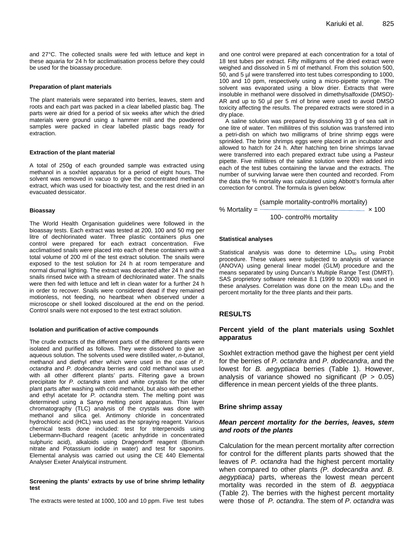and 27°C. The collected snails were fed with lettuce and kept in these aquaria for 24 h for acclimatisation process before they could be used for the bioassay procedure.

#### **Preparation of plant materials**

The plant materials were separated into berries, leaves, stem and roots and each part was packed in a clear labelled plastic bag. The parts were air dried for a period of six weeks after which the dried materials were ground using a hammer mill and the powdered samples were packed in clear labelled plastic bags ready for extraction.

#### **Extraction of the plant material**

A total of 250g of each grounded sample was extracted using methanol in a soxhlet apparatus for a period of eight hours. The solvent was removed in vacuo to give the concentrated methanol extract, which was used for bioactivity test, and the rest dried in an evacuated dessicator.

#### **Bioassay**

The World Health Organisation guidelines were followed in the bioassay tests. Each extract was tested at 200, 100 and 50 mg per litre of dechlorinated water. Three plastic containers plus one control were prepared for each extract concentration. Five acclimatised snails were placed into each of these containers with a total volume of 200 ml of the test extract solution. The snails were exposed to the test solution for 24 h at room temperature and normal diurnal lighting. The extract was decanted after 24 h and the snails rinsed twice with a stream of dechlorinated water. The snails were then fed with lettuce and left in clean water for a further 24 h in order to recover. Snails were considered dead if they remained motionless, not feeding, no heartbeat when observed under a microscope or shell looked discoloured at the end on the period. Control snails were not exposed to the test extract solution.

#### **Isolation and purification of active compounds**

The crude extracts of the different parts of the different plants were isolated and purified as follows. They were dissolved to give an aqueous solution. The solvents used were distilled water, *n*-butanol, methanol and diethyl ether which were used in the case of *P. octandra* and *P. dodecandra* berries and cold methanol was used with all other different plants' parts. Filtering gave a brown precipitate for *P. octandra* stem and white crystals for the other plant parts after washing with cold methanol, but also with pet-ether and ethyl acetate for *P. octandra* stem*.* The melting point was determined using a Sanyo melting point apparatus. Thin layer chromatography (TLC) analysis of the crystals was done with methanol and silica gel. Antimony chloride in concentrated hydrochloric acid (HCL) was used as the spraying reagent. Various chemical tests done included: test for triterpenoids using Liebermann-Buchard reagent (acetic anhydride in concentrated sulphuric acid), alkaloids using Dragendorff reagent (Bismuth nitrate and Potassium iodide in water) and test for saponins. Elemental analysis was carried out using the CE 440 Elemental Analyser Exeter Analytical instrument.

#### **Screening the plants' extracts by use of brine shrimp lethality test**

The extracts were tested at 1000, 100 and 10 ppm. Five test tubes

and one control were prepared at each concentration for a total of 18 test tubes per extract. Fifty milligrams of the dried extract were weighed and dissolved in 5 ml of methanol. From this solution 500, 50, and 5 µl were transferred into test tubes corresponding to 1000, 100 and 10 ppm, respectively using a micro-pipette syringe. The solvent was evaporated using a blow drier. Extracts that were insoluble in methanol were dissolved in dimethylsalfoxide (DMSO)- AR and up to 50 µl per 5 ml of brine were used to avoid DMSO toxicity affecting the results. The prepared extracts were stored in a dry place.

A saline solution was prepared by dissolving 33 g of sea salt in one litre of water. Ten millilitres of this solution was transferred into a petri-dish on which two milligrams of brine shrimp eggs were sprinkled. The brine shrimps eggs were placed in an incubator and allowed to hatch for 24 h. After hatching ten brine shrimps larvae were transferred into each prepared extract tube using a Pasteur pipette. Five millilitres of the saline solution were then added into each of the test tubes containing the larvae and the extracts. The number of surviving larvae were then counted and recorded. From the data the % mortality was calculated using Abbott's formula after correction for control. The formula is given below:

$$
\% Mortality = \frac{\text{(sample mortality-control\% mortality)}}{100 - control\% mortality} \times 100
$$

#### **Statistical analyses**

Statistical analysis was done to determine  $LD_{50}$  using Probit procedure. These values were subjected to analysis of variance (ANOVA) using general linear model (GLM) procedure and the means separated by using Duncan's Multiple Range Test (DMRT). SAS proprietory software release 8.1 (1999 to 2000) was used in these analyses. Correlation was done on the mean  $LD_{50}$  and the percent mortality for the three plants and their parts.

# **RESULTS**

# **Percent yield of the plant materials using Soxhlet apparatus**

Soxhlet extraction method gave the highest per cent yield for the berries of *P. octandra* and *P. dodecandra*, and the lowest for *B. aegyptiaca* berries (Table 1). However, analysis of variance showed no significant ( $P > 0.05$ ) difference in mean percent yields of the three plants.

#### **Brine shrimp assay**

# *Mean percent mortality for the berries, leaves, stem and roots of the plants*

Calculation for the mean percent mortality after correction for control for the different plants parts showed that the leaves of *P. octandra* had the highest percent mortality when compared to other plants *(P. dodecandra and. B. aegyptiaca)* parts, whereas the lowest mean percent mortality was recorded in the stem of *B. aegyptiaca* (Table 2). The berries with the highest percent mortality were those of *P. octandra*. The stem of *P*. *octandra* was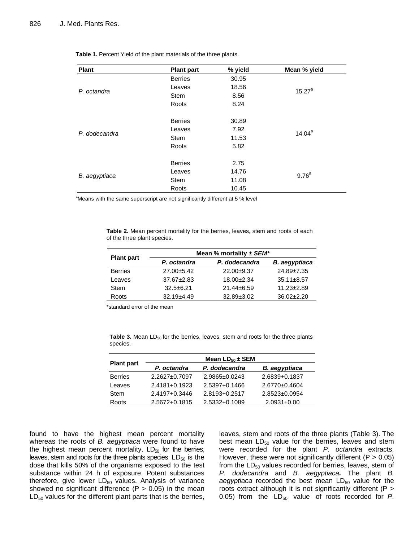| <b>Plant</b>  | <b>Plant part</b> | % yield | Mean % yield      |  |
|---------------|-------------------|---------|-------------------|--|
|               | <b>Berries</b>    | 30.95   | $15.27^{\circ}$   |  |
|               | Leaves            | 18.56   |                   |  |
| P. octandra   | <b>Stem</b>       | 8.56    |                   |  |
|               | Roots             | 8.24    |                   |  |
|               | <b>Berries</b>    | 30.89   | $14.04^a$         |  |
| P. dodecandra | Leaves            | 7.92    |                   |  |
|               | <b>Stem</b>       | 11.53   |                   |  |
|               | Roots             | 5.82    |                   |  |
|               | <b>Berries</b>    | 2.75    |                   |  |
|               | Leaves            | 14.76   | 9.76 <sup>a</sup> |  |
| B. aegyptiaca | Stem              | 11.08   |                   |  |
|               | Roots             | 10.45   |                   |  |

**Table 1.** Percent Yield of the plant materials of the three plants.

<sup>a</sup>Means with the same superscript are not significantly different at 5 % level

**Table 2.** Mean percent mortality for the berries, leaves, stem and roots of each of the three plant species.

|                   | Mean % mortality $\pm$ SEM* |                  |                      |  |
|-------------------|-----------------------------|------------------|----------------------|--|
| <b>Plant part</b> | P. octandra                 | P. dodecandra    | <b>B.</b> aegyptiaca |  |
| <b>Berries</b>    | $27.00 + 5.42$              | $22.00+9.37$     | $24.89 \pm 7.35$     |  |
| Leaves            | $37.67 \pm 2.83$            | $18.00+2.34$     | $35.11 \pm 8.57$     |  |
| Stem              | $32.5 + 6.21$               | $21.44 \pm 6.59$ | $11.23 \pm 2.89$     |  |
| Roots             | $32.19 + 4.49$              | $32.89 \pm 3.02$ | $36.02 \pm 2.20$     |  |

\*standard error of the mean

Table 3. Mean LD<sub>50</sub> for the berries, leaves, stem and roots for the three plants species.

| <b>Plant part</b> |                     | Mean $LD_{50} \pm SEM$ |                     |
|-------------------|---------------------|------------------------|---------------------|
|                   | P. octandra         | P. dodecandra          | B. aegyptiaca       |
| <b>Berries</b>    | $2.2627 \pm 0.7097$ | $2.9865 \pm 0.0243$    | 2.6839+0.1837       |
| Leaves            | 2.4181+0.1923       | 2.5397+0.1466          | $2.6770 \pm 0.4604$ |
| Stem              | 2.4197+0.3446       | 2.8193+0.2517          | $2.8523 \pm 0.0954$ |
| Roots             | 2.5672+0.1815       | 2.5332+0.1089          | $2.0931 \pm 0.00$   |

found to have the highest mean percent mortality whereas the roots of *B. aegyptiaca* were found to have the highest mean percent mortality.  $LD_{50}$  for the berries, leaves, stem and roots for the three plants species  $LD_{50}$  is the dose that kills 50% of the organisms exposed to the test substance within 24 h of exposure. Potent substances therefore, give lower  $LD_{50}$  values. Analysis of variance showed no significant difference  $(P > 0.05)$  in the mean  $LD_{50}$  values for the different plant parts that is the berries, leaves, stem and roots of the three plants (Table 3). The best mean  $LD_{50}$  value for the berries, leaves and stem were recorded for the plant *P. octandra* extracts. However, these were not significantly different ( $P > 0.05$ ) from the  $LD_{50}$  values recorded for berries, leaves, stem of *P. dodecandra* and *B. aegyptiaca.* The plant *B.* aegyptiaca recorded the best mean LD<sub>50</sub> value for the roots extract although it is not significantly different (P > 0.05) from the  $LD_{50}$  value of roots recorded for  $P$ .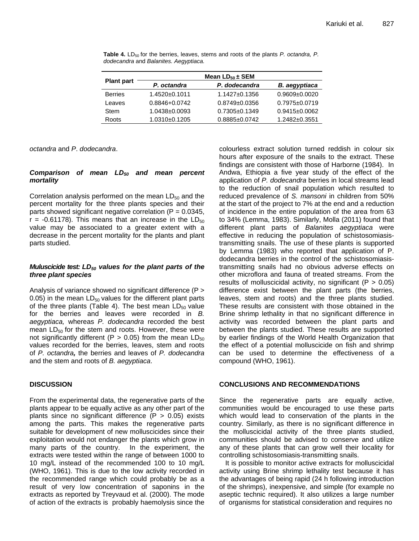| <b>Plant part</b> | Mean $LD_{50} \pm SEM$ |                     |                      |
|-------------------|------------------------|---------------------|----------------------|
|                   | P. octandra            | P. dodecandra       | <b>B.</b> aegyptiaca |
| <b>Berries</b>    | 1.4520±0.1011          | $1.1427 \pm 0.1356$ | $0.9609 + 0.0020$    |
| Leaves            | 0.8846+0.0742          | $0.8749 \pm 0.0356$ | $0.7975 \pm 0.0719$  |
| <b>Stem</b>       | $1.0438 + 0.0093$      | $0.7305 \pm 0.1349$ | $0.9415 \pm 0.0062$  |
| Roots             | 1.0310±0.1205          | 0.8885±0.0742       | $1.2482 + 0.3551$    |

**Table 4.** LD<sub>50</sub> for the berries, leaves, stems and roots of the plants *P. octandra, P. dodecandra* and *Balanites. Aegyptiaca.* 

*octandra* and *P*. *dodecandra*.

# Comparison of mean LD<sub>50</sub> and mean percent *mortality*

Correlation analysis performed on the mean  $LD_{50}$  and the percent mortality for the three plants species and their parts showed significant negative correlation ( $P = 0.0345$ ,  $r = -0.61178$ ). This means that an increase in the LD<sub>50</sub> value may be associated to a greater extent with a decrease in the percent mortality for the plants and plant parts studied.

# *Muluscicide test: LD<sub>50</sub> values for the plant parts of the three plant species*

Analysis of variance showed no significant difference (P > 0.05) in the mean  $LD_{50}$  values for the different plant parts of the three plants (Table 4). The best mean  $LD_{50}$  value for the berries and leaves were recorded in *B. aegyptiaca,* whereas *P. dodecandra* recorded the best mean  $LD_{50}$  for the stem and roots. However, these were not significantly different (P > 0.05) from the mean  $LD_{50}$ values recorded for the berries, leaves, stem and roots of *P. octandra,* the berries and leaves of *P. dodecandra*  and the stem and roots of *B. aegyptiaca*.

# **DISCUSSION**

From the experimental data, the regenerative parts of the plants appear to be equally active as any other part of the plants since no significant difference  $(P > 0.05)$  exists among the parts. This makes the regenerative parts suitable for development of new molluscicides since their exploitation would not endanger the plants which grow in many parts of the country. In the experiment, the extracts were tested within the range of between 1000 to 10 mg/L instead of the recommended 100 to 10 mg/L (WHO, 1961). This is due to the low activity recorded in the recommended range which could probably be as a result of very low concentration of saponins in the extracts as reported by Treyvaud et al. (2000). The mode of action of the extracts is probably haemolysis since the colourless extract solution turned reddish in colour six hours after exposure of the snails to the extract. These findings are consistent with those of Harborne (1984). In Andwa, Ethiopia a five year study of the effect of the application of *P. dodecandra* berries in local streams lead to the reduction of snail population which resulted to reduced prevalence of *S. mansoni* in children from 50% at the start of the project to 7% at the end and a reduction of incidence in the entire population of the area from 63 to 34% (Lemma, 1983). Similarly, Molla (2011) found that different plant parts of *Balanites aegyptiaca* were effective in reducing the population of schistosomiasistransmitting snails. The use of these plants is supported by Lemma (1983) who reported that application of P. dodecandra berries in the control of the schistosomiasistransmitting snails had no obvious adverse effects on other microflora and fauna of treated streams. From the results of molluscicidal activity, no significant ( $P > 0.05$ ) difference exist between the plant parts (the berries, leaves, stem and roots) and the three plants studied. These results are consistent with those obtained in the Brine shrimp lethality in that no significant difference in activity was recorded between the plant parts and between the plants studied. These results are supported by earlier findings of the World Health Organization that the effect of a potential molluscicide on fish and shrimp can be used to determine the effectiveness of a compound (WHO, 1961).

# **CONCLUSIONS AND RECOMMENDATIONS**

Since the regenerative parts are equally active, communities would be encouraged to use these parts which would lead to conservation of the plants in the country. Similarly, as there is no significant difference in the molluscicidal activity of the three plants studied, communities should be advised to conserve and utilize any of these plants that can grow well their locality for controlling schistosomiasis-transmitting snails.

It is possible to monitor active extracts for molluscicidal activity using Brine shrimp lethality test because it has the advantages of being rapid (24 h following introduction of the shrimps), inexpensive, and simple (for example no aseptic technic required). It also utilizes a large number of organisms for statistical consideration and requires no